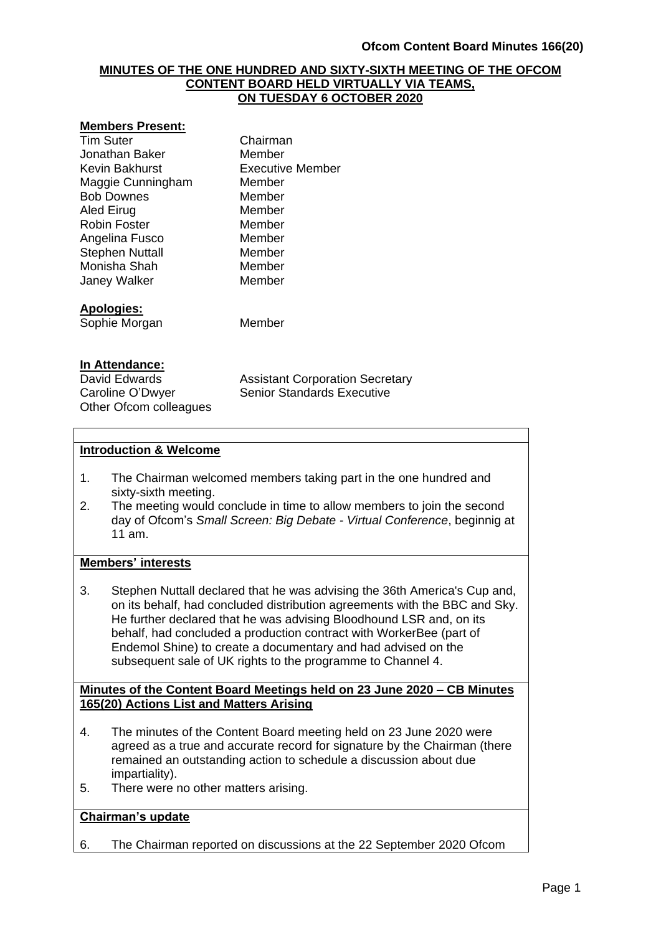### **MINUTES OF THE ONE HUNDRED AND SIXTY-SIXTH MEETING OF THE OFCOM CONTENT BOARD HELD VIRTUALLY VIA TEAMS, ON TUESDAY 6 OCTOBER 2020**

#### **Members Present:**

| <b>Tim Suter</b>       | Chairman         |
|------------------------|------------------|
| Jonathan Baker         | Member           |
| Kevin Bakhurst         | Executive Member |
| Maggie Cunningham      | Member           |
| <b>Bob Downes</b>      | Member           |
| Aled Eirug             | Member           |
| Robin Foster           | Member           |
| Angelina Fusco         | Member           |
| <b>Stephen Nuttall</b> | Member           |
| Monisha Shah           | Member           |
| <b>Janey Walker</b>    | Member           |
| <b>Apologies:</b>      |                  |
| Sophie Morgan          | Member           |
|                        |                  |

#### **In Attendance:**

Other Ofcom colleagues

David Edwards **Assistant Corporation Secretary** Caroline O'Dwyer Senior Standards Executive

### **Introduction & Welcome**

- 1. The Chairman welcomed members taking part in the one hundred and sixty-sixth meeting.
- 2. The meeting would conclude in time to allow members to join the second day of Ofcom's *Small Screen: Big Debate - Virtual Conference*, beginnig at 11 am.

#### **Members' interests**

3. Stephen Nuttall declared that he was advising the 36th America's Cup and, on its behalf, had concluded distribution agreements with the BBC and Sky. He further declared that he was advising Bloodhound LSR and, on its behalf, had concluded a production contract with WorkerBee (part of Endemol Shine) to create a documentary and had advised on the subsequent sale of UK rights to the programme to Channel 4.

### **Minutes of the Content Board Meetings held on 23 June 2020 – CB Minutes 165(20) Actions List and Matters Arising**

- 4. The minutes of the Content Board meeting held on 23 June 2020 were agreed as a true and accurate record for signature by the Chairman (there remained an outstanding action to schedule a discussion about due impartiality).
- 5. There were no other matters arising.

### **Chairman's update**

6. The Chairman reported on discussions at the 22 September 2020 Ofcom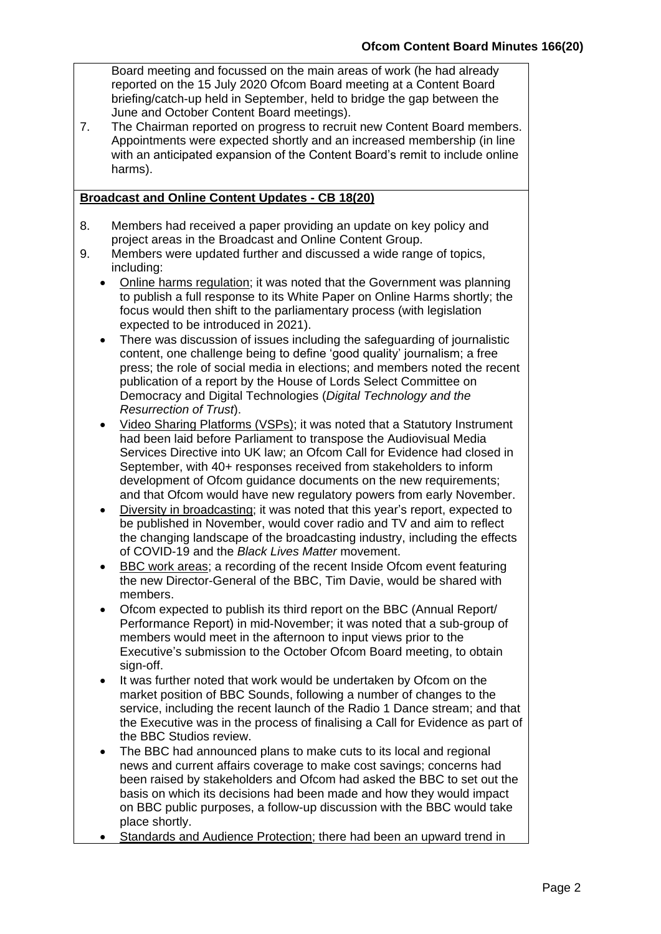Board meeting and focussed on the main areas of work (he had already reported on the 15 July 2020 Ofcom Board meeting at a Content Board briefing/catch-up held in September, held to bridge the gap between the June and October Content Board meetings).

7. The Chairman reported on progress to recruit new Content Board members. Appointments were expected shortly and an increased membership (in line with an anticipated expansion of the Content Board's remit to include online harms).

## **Broadcast and Online Content Updates - CB 18(20)**

- 8. Members had received a paper providing an update on key policy and project areas in the Broadcast and Online Content Group.
- 9. Members were updated further and discussed a wide range of topics, including:
	- Online harms regulation; it was noted that the Government was planning to publish a full response to its White Paper on Online Harms shortly; the focus would then shift to the parliamentary process (with legislation expected to be introduced in 2021).
	- There was discussion of issues including the safeguarding of journalistic content, one challenge being to define 'good quality' journalism; a free press; the role of social media in elections; and members noted the recent publication of a report by the House of Lords Select Committee on Democracy and Digital Technologies (*Digital Technology and the Resurrection of Trust*).
	- Video Sharing Platforms (VSPs); it was noted that a Statutory Instrument had been laid before Parliament to transpose the Audiovisual Media Services Directive into UK law; an Ofcom Call for Evidence had closed in September, with 40+ responses received from stakeholders to inform development of Ofcom guidance documents on the new requirements; and that Ofcom would have new regulatory powers from early November.
	- Diversity in broadcasting; it was noted that this year's report, expected to be published in November, would cover radio and TV and aim to reflect the changing landscape of the broadcasting industry, including the effects of COVID-19 and the *Black Lives Matter* movement.
	- BBC work areas; a recording of the recent Inside Ofcom event featuring the new Director-General of the BBC, Tim Davie, would be shared with members.
	- Ofcom expected to publish its third report on the BBC (Annual Report/ Performance Report) in mid-November; it was noted that a sub-group of members would meet in the afternoon to input views prior to the Executive's submission to the October Ofcom Board meeting, to obtain sign-off.
	- It was further noted that work would be undertaken by Ofcom on the market position of BBC Sounds, following a number of changes to the service, including the recent launch of the Radio 1 Dance stream; and that the Executive was in the process of finalising a Call for Evidence as part of the BBC Studios review.
	- The BBC had announced plans to make cuts to its local and regional news and current affairs coverage to make cost savings; concerns had been raised by stakeholders and Ofcom had asked the BBC to set out the basis on which its decisions had been made and how they would impact on BBC public purposes, a follow-up discussion with the BBC would take place shortly.
	- Standards and Audience Protection; there had been an upward trend in